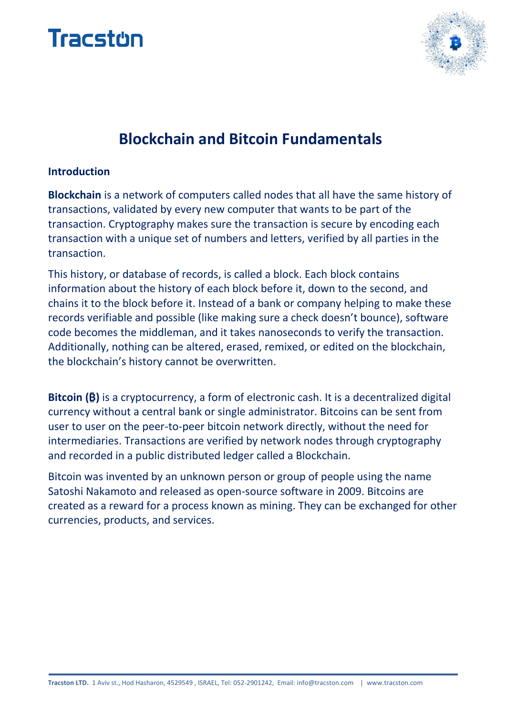



# **Blockchain and Bitcoin Fundamentals**

#### **Introduction**

**Blockchain** is a network of computers called nodes that all have the same history of transactions, validated by every new computer that wants to be part of the transaction. Cryptography makes sure the transaction is secure by encoding each transaction with a unique set of numbers and letters, verified by all parties in the transaction.

This history, or database of records, is called a block. Each block contains information about the history of each block before it, down to the second, and chains it to the block before it. Instead of a bank or company helping to make these records verifiable and possible (like making sure a check doesn't bounce), software code becomes the middleman, and it takes nanoseconds to verify the transaction. Additionally, nothing can be altered, erased, remixed, or edited on the blockchain, the blockchain's history cannot be overwritten.

**Bitcoin (₿)** is a cryptocurrency, a form of electronic cash. It is a decentralized digital currency without a central bank or single administrator. Bitcoins can be sent from user to user on the peer-to-peer bitcoin network directly, without the need for intermediaries. Transactions are verified by network nodes through cryptography and recorded in a public distributed ledger called a Blockchain.

Bitcoin was invented by an unknown person or group of people using the name Satoshi Nakamoto and released as open-source software in 2009. Bitcoins are created as a reward for a process known as mining. They can be exchanged for other currencies, products, and services.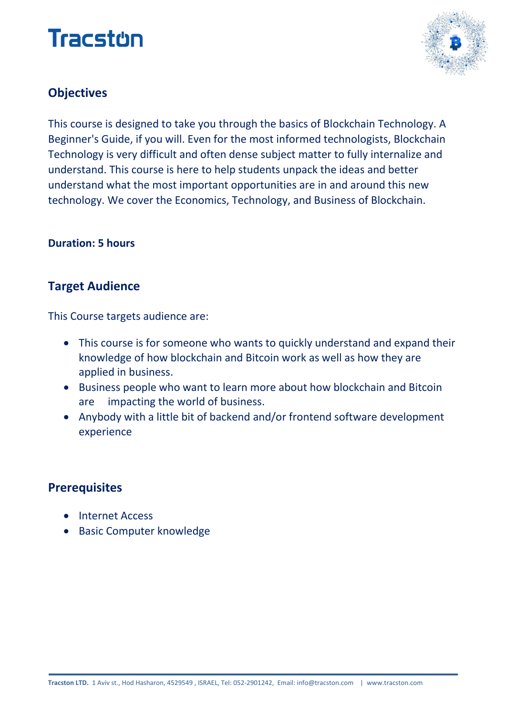# Tracston



# **Objectives**

This course is designed to take you through the basics of Blockchain Technology. A Beginner's Guide, if you will. Even for the most informed technologists, Blockchain Technology is very difficult and often dense subject matter to fully internalize and understand. This course is here to help students unpack the ideas and better understand what the most important opportunities are in and around this new technology. We cover the Economics, Technology, and Business of Blockchain.

#### **Duration: 5 hours**

## **Target Audience**

This Course targets audience are:

- This course is for someone who wants to quickly understand and expand their knowledge of how blockchain and Bitcoin work as well as how they are applied in business.
- Business people who want to learn more about how blockchain and Bitcoin are impacting the world of business.
- Anybody with a little bit of backend and/or frontend software development experience

### **Prerequisites**

- Internet Access
- Basic Computer knowledge